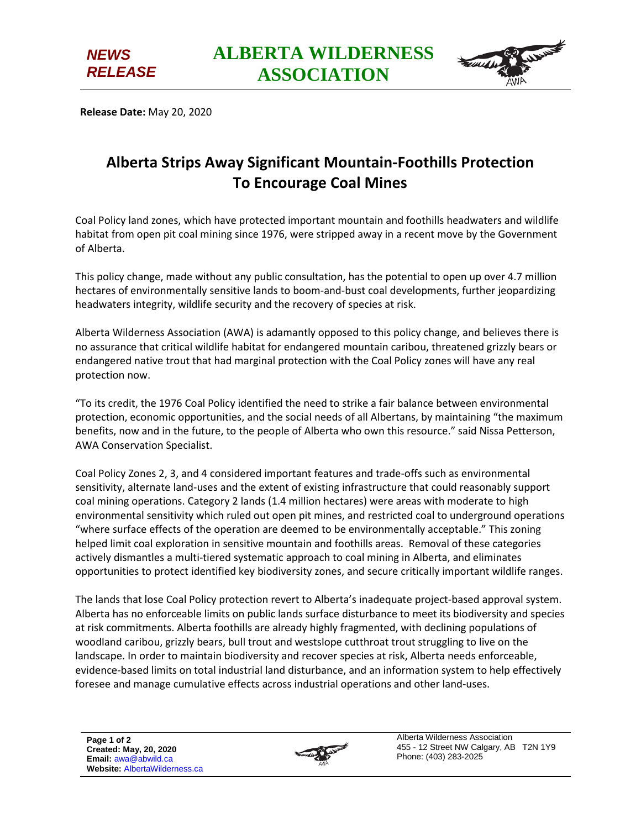



**Release Date:** May 20, 2020

## **Alberta Strips Away Significant Mountain-Foothills Protection To Encourage Coal Mines**

Coal Policy land zones, which have protected important mountain and foothills headwaters and wildlife habitat from open pit coal mining since 1976, were stripped away in a recent move by the Government of Alberta.

This policy change, made without any public consultation, has the potential to open up over 4.7 million hectares of environmentally sensitive lands to boom-and-bust coal developments, further jeopardizing headwaters integrity, wildlife security and the recovery of species at risk.

Alberta Wilderness Association (AWA) is adamantly opposed to this policy change, and believes there is no assurance that critical wildlife habitat for endangered mountain caribou, threatened grizzly bears or endangered native trout that had marginal protection with the Coal Policy zones will have any real protection now.

"To its credit, the 1976 Coal Policy identified the need to strike a fair balance between environmental protection, economic opportunities, and the social needs of all Albertans, by maintaining "the maximum benefits, now and in the future, to the people of Alberta who own this resource." said Nissa Petterson, AWA Conservation Specialist.

Coal Policy Zones 2, 3, and 4 considered important features and trade-offs such as environmental sensitivity, alternate land-uses and the extent of existing infrastructure that could reasonably support coal mining operations. Category 2 lands (1.4 million hectares) were areas with moderate to high environmental sensitivity which ruled out open pit mines, and restricted coal to underground operations "where surface effects of the operation are deemed to be environmentally acceptable." This zoning helped limit coal exploration in sensitive mountain and foothills areas. Removal of these categories actively dismantles a multi-tiered systematic approach to coal mining in Alberta, and eliminates opportunities to protect identified key biodiversity zones, and secure critically important wildlife ranges.

The lands that lose Coal Policy protection revert to Alberta's inadequate project-based approval system. Alberta has no enforceable limits on public lands surface disturbance to meet its biodiversity and species at risk commitments. Alberta foothills are already highly fragmented, with declining populations of woodland caribou, grizzly bears, bull trout and westslope cutthroat trout struggling to live on the landscape. In order to maintain biodiversity and recover species at risk, Alberta needs enforceable, evidence-based limits on total industrial land disturbance, and an information system to help effectively foresee and manage cumulative effects across industrial operations and other land-uses.



Alberta Wilderness Association 455 - 12 Street NW Calgary, AB T2N 1Y9 Phone: (403) 283-2025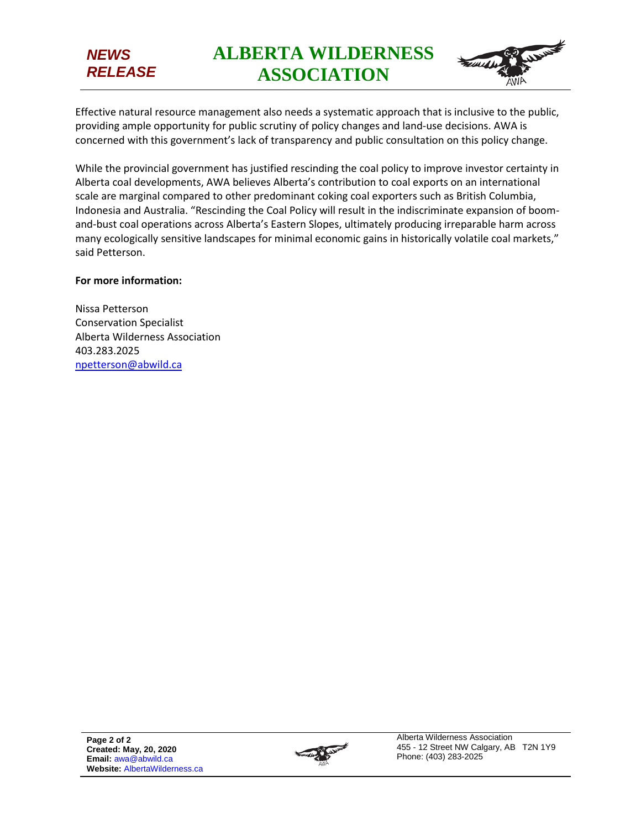## *NEWS RELEASE*

**ALBERTA WILDERNESS ASSOCIATION**



Effective natural resource management also needs a systematic approach that is inclusive to the public, providing ample opportunity for public scrutiny of policy changes and land-use decisions. AWA is concerned with this government's lack of transparency and public consultation on this policy change.

While the provincial government has justified rescinding the coal policy to improve investor certainty in Alberta coal developments, AWA believes Alberta's contribution to coal exports on an international scale are marginal compared to other predominant coking coal exporters such as British Columbia, Indonesia and Australia. "Rescinding the Coal Policy will result in the indiscriminate expansion of boomand-bust coal operations across Alberta's Eastern Slopes, ultimately producing irreparable harm across many ecologically sensitive landscapes for minimal economic gains in historically volatile coal markets," said Petterson.

## **For more information:**

Nissa Petterson Conservation Specialist Alberta Wilderness Association 403.283.2025 [npetterson@abwild.ca](mailto:npetterson@abwild.ca)

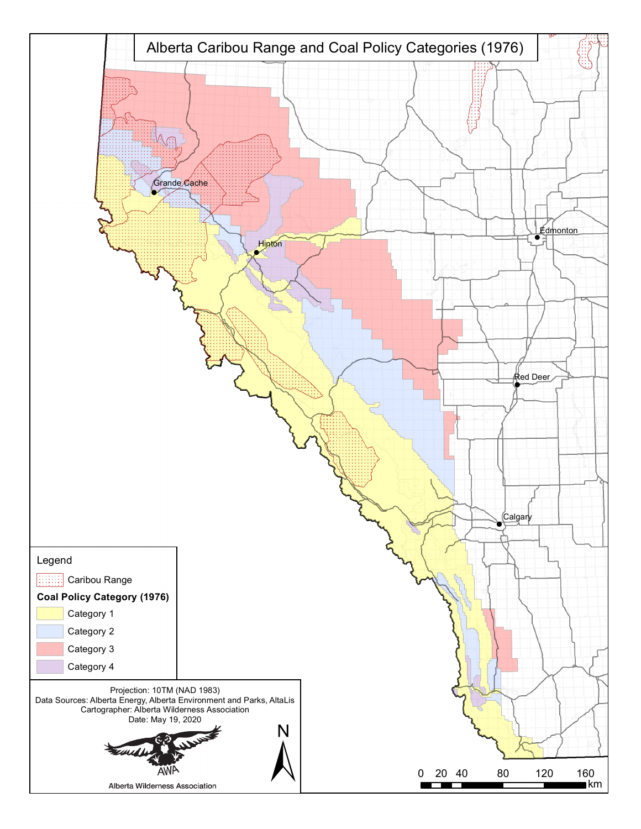